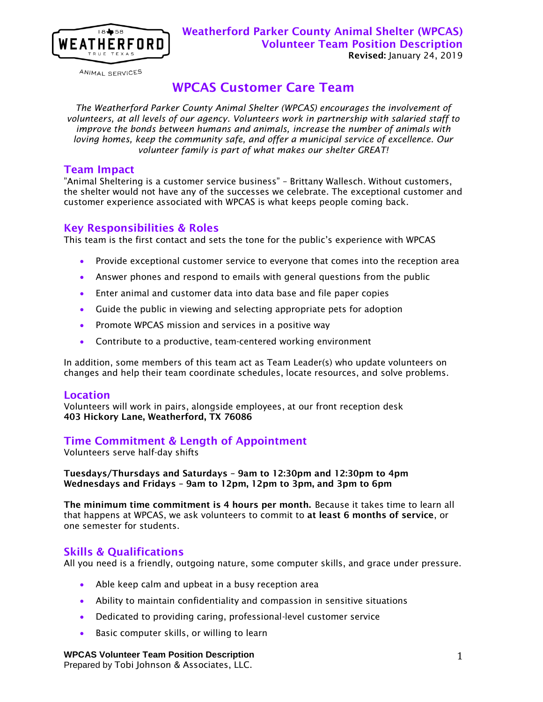

ANIMAL SERVICES

# WPCAS Customer Care Team

*The Weatherford Parker County Animal Shelter (WPCAS) encourages the involvement of volunteers, at all levels of our agency. Volunteers work in partnership with salaried staff to improve the bonds between humans and animals, increase the number of animals with loving homes, keep the community safe, and offer a municipal service of excellence. Our volunteer family is part of what makes our shelter GREAT!*

### Team Impact

"Animal Sheltering is a customer service business" – Brittany Wallesch. Without customers, the shelter would not have any of the successes we celebrate. The exceptional customer and customer experience associated with WPCAS is what keeps people coming back.

### Key Responsibilities & Roles

This team is the first contact and sets the tone for the public's experience with WPCAS

- Provide exceptional customer service to everyone that comes into the reception area
- Answer phones and respond to emails with general questions from the public
- Enter animal and customer data into data base and file paper copies
- Guide the public in viewing and selecting appropriate pets for adoption
- Promote WPCAS mission and services in a positive way
- Contribute to a productive, team-centered working environment

In addition, some members of this team act as Team Leader(s) who update volunteers on changes and help their team coordinate schedules, locate resources, and solve problems.

### **Location**

Volunteers will work in pairs, alongside employees, at our front reception desk 403 Hickory Lane, Weatherford, TX 76086

### Time Commitment & Length of Appointment

Volunteers serve half-day shifts

Tuesdays/Thursdays and Saturdays – 9am to 12:30pm and 12:30pm to 4pm Wednesdays and Fridays – 9am to 12pm, 12pm to 3pm, and 3pm to 6pm

The minimum time commitment is 4 hours per month. Because it takes time to learn all that happens at WPCAS, we ask volunteers to commit to at least 6 months of service, or one semester for students.

### Skills & Qualifications

All you need is a friendly, outgoing nature, some computer skills, and grace under pressure.

- Able keep calm and upbeat in a busy reception area
- Ability to maintain confidentiality and compassion in sensitive situations
- Dedicated to providing caring, professional-level customer service
- **Basic computer skills, or willing to learn**

#### **WPCAS Volunteer Team Position Description**

Prepared by Tobi Johnson & Associates, LLC.